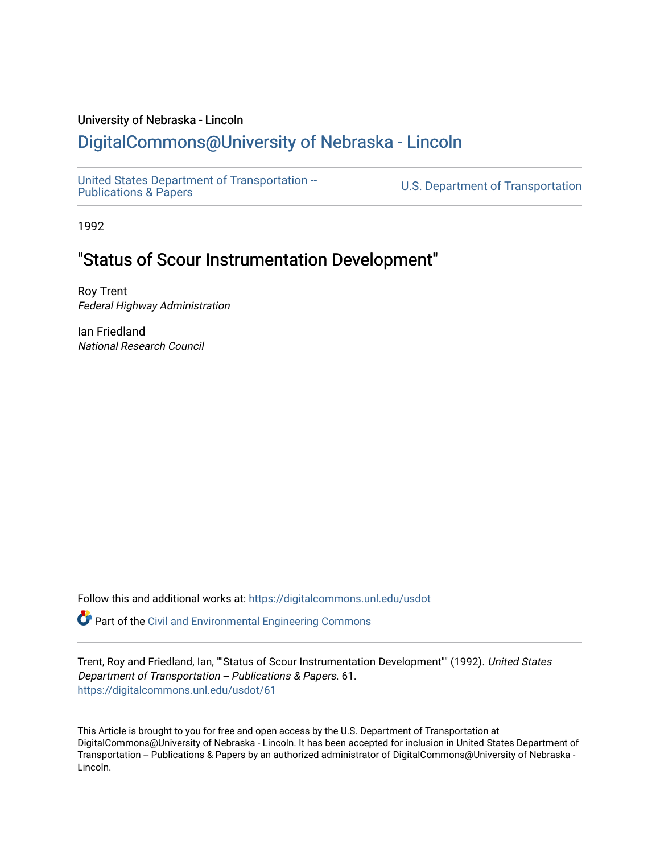# University of Nebraska - Lincoln

# [DigitalCommons@University of Nebraska - Lincoln](https://digitalcommons.unl.edu/)

[United States Department of Transportation --](https://digitalcommons.unl.edu/usdot)<br>Publications & Papers

U.S. Department of Transportation

1992

# "Status of Scour Instrumentation Development"

Roy Trent Federal Highway Administration

Ian Friedland National Research Council

Follow this and additional works at: [https://digitalcommons.unl.edu/usdot](https://digitalcommons.unl.edu/usdot?utm_source=digitalcommons.unl.edu%2Fusdot%2F61&utm_medium=PDF&utm_campaign=PDFCoverPages) 

**P** Part of the [Civil and Environmental Engineering Commons](http://network.bepress.com/hgg/discipline/251?utm_source=digitalcommons.unl.edu%2Fusdot%2F61&utm_medium=PDF&utm_campaign=PDFCoverPages)

Trent, Roy and Friedland, Ian, ""Status of Scour Instrumentation Development"" (1992). United States Department of Transportation -- Publications & Papers. 61. [https://digitalcommons.unl.edu/usdot/61](https://digitalcommons.unl.edu/usdot/61?utm_source=digitalcommons.unl.edu%2Fusdot%2F61&utm_medium=PDF&utm_campaign=PDFCoverPages)

This Article is brought to you for free and open access by the U.S. Department of Transportation at DigitalCommons@University of Nebraska - Lincoln. It has been accepted for inclusion in United States Department of Transportation -- Publications & Papers by an authorized administrator of DigitalCommons@University of Nebraska -Lincoln.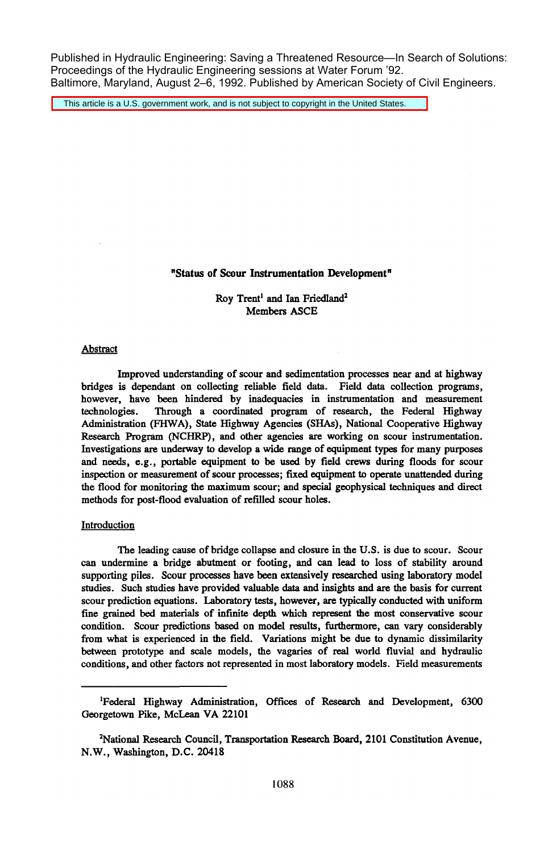Published in Hydraulic Engineering: Saving a Threatened Resource—In Search of Solutions: Proceedings of the Hydraulic Engineering sessions at Water Forum '92. Baltimore, Maryland, August 2–6, 1992. Published by American Society of Civil Engineers.

This article is a U.S. government work, and is not subject to copyright in the United States.

### "Status of Scour Instrumentation Development"

## Roy Trent<sup>1</sup> and Ian Friedland<sup>2</sup> Members ASCE

#### Abstract

Improved understanding of scour and sedimentation processes near and at highway bridges is dependant on collecting reliable field data. Field data collection programs, however, have been hindered by inadequacies in instrumentation and measurement technologies. Through a coordinated program of research, the Federal Highway Through a coordinated program of research, the Federal Highway Administration (FHWA), State Highway Agencies (SHAs), National Cooperative Highway Research Program (NCHRP), and other agencies are working on scour instrumentation. Investigations are underway to develop a wide range of equipment types for many purposes and needs, e.g., portable equipment to be used by field crews during floods for scour inspection or measurement of scour processes; fixed equipment to operate unattended during the flood for monitoring the maximum scour; and special geophysical techniques and direct methods for post-flood evaluation of refilled scour holes.

#### **Introduction**

The leading cause of bridge collapse and closure in the U.S. is due to scour. Scour can undermine a bridge abutment or footing, and can lead to loss of stability around supporting piles. Scour processes have been extensively researched using laboratory model studies. Such studies have provided valuable data and insights and are the basis for current scour prediction equations. Laboratory tests, however, are typically conducted with uniform fine grained bed materials of infinite depth which represent the most conservative scour condition. Scour predictions based on model results, furthermore, can vary considerably from what is experienced in the field. Variations might be due to dynamic dissimilarity between prototype and scale models, the vagaries of real world fluvial and hydraulic conditions, and other factors not represented in most laboratory models. Field measurements

<sup>&</sup>lt;sup>1</sup>Federal Highway Administration, Offices of Research and Development, 6300 Georgetown Pike, McLean VA 22101

<sup>&</sup>lt;sup>2</sup>National Research Council, Transportation Research Board, 2101 Constitution Avenue, N.W., Washington, D.C. 20418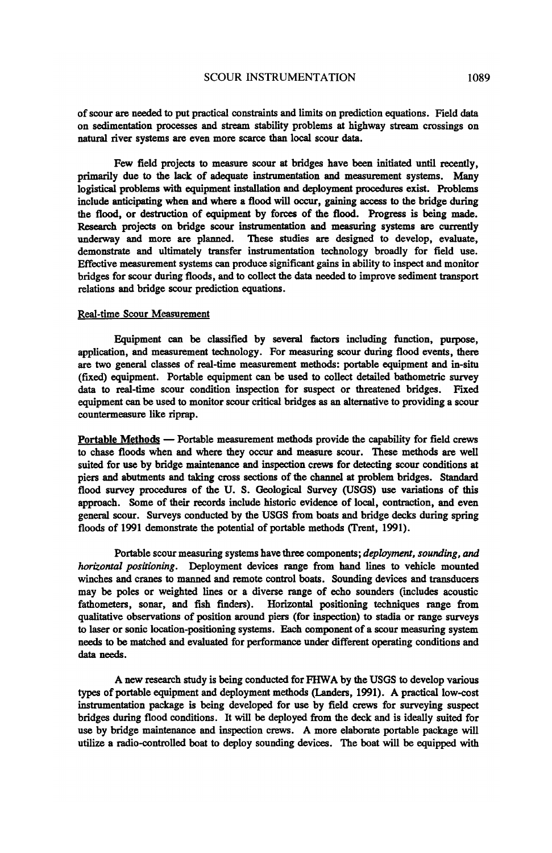of scour are needed to put practical constraints and limits on prediction equations. Field data on sedimentation processes and stream stability problems at highway stream crossings on natural river systems are even more scarce than local scour data.

Few field projects to measure scour at bridges have been initiated until recently, primarily due to the lack of adequate instrumentation and measurement systems. Many logistical problems with equipment installation and deployment procedures exist. Problems include anticipating when and where a flood will occur, gaining access to the bridge during the flood, or destruction of equipment by forces of the flood. Progress is being made. Research projects on bridge scour instrumentation and measuring systems are currently underway and more are planned. These studies are designed to develop, evaluate, demonstrate and ultimately transfer instrumentation technology broadly for field use. Effective measurement systems can produce significant gains in ability to inspect and monitor bridges for scour during floods, and to collect the data needed to improve sediment transport relations and bridge scour prediction equations.

## Real-time Scour Measurement

Equipment can be classified by several factors including function, purpose, application, and measurement technology. For measuring scour during flood events, there are two general classes of real-time measurement methods: portable equipment and in-situ (fixed) equipment. Portable equipment can be used to collect detailed bathometric survey data to real-time scour condition inspection for suspect or threatened bridges. Fixed equipment can be used to monitor scour critical bridges as an alternative to providing a scour countermeasure like riprap.

Portable Methods - Portable measurement methods provide the capability for field crews to chase floods when and where they occur and measure scour. These methods are well suited for use by bridge maintenance and inspection crews for detecting scour conditions at piers and abutments and taking cross sections of the channel at problem bridges. Standard flood survey procedures of the U. S. Geological Survey (USGS) use variations of this approach. Some of their records include historic evidence of local, contraction, and even general scour. Surveys conducted by the USGS from boats and bridge decks during spring floods of 1991 demonstrate the potential of portable methods (Trent, 1991).

Portable scour measuring systems have three components; *deployment, sounding, and horizontal positioning.* Deployment devices range from band lines to vehicle mounted winches and cranes to manned and remote control boats. Sounding devices and transducers may be poles or weighted lines or a diverse range of echo sounders (includes acoustic fathometers, sonar, and fish finders). Horizontal positioning techniques range from qualitative observations of position around piers (for inspection) to stadia or range surveys to laser or sonic location-positioning systems. Each component of a scour measuring system needs to be matched and evaluated for performance under different operating conditions and data needs.

A new research study is being conducted for FHW A by the USGS to develop various types of portable equipment and deployment methods (Landers, 1991). A practical low-cost instrumentation package is being developed for use by field crews for surveying suspect bridges during flood conditions. It will be deployed from the deck and is ideally suited for use by bridge maintenance and inspection crews. A more elaborate portable package will utilize a radio-controlled boat to deploy sounding devices. The boat will be equipped with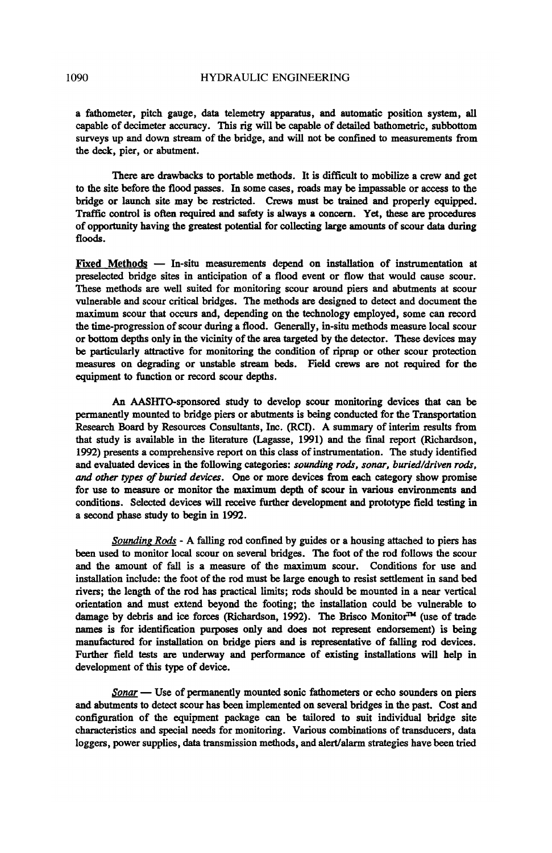a fathometer, pitch gauge, data telemetry apparatus, and automatic position system, all capable of decimeter accuracy. This rig will be capable of detailed bathometric, subbottom surveys up and down stream of the bridge, and will not be confined to measurements from the deck, pier, or abutment.

There are drawbacks to portable methods. It is difficult to mobilize a crew and get to the site before the flood passes. In some cases, roads may be impassable or access to the bridge or launch site may be restricted. Crews must be trained and properly equipped. Traffic control is often required and safety is always a concern. Yet, these are procedures of opportunity having the greatest potential for collecting large amounts of scour data during floods.

Fixed Methods - In-situ measurements depend on installation of instrumentation at preselected bridge sites in anticipation of a flood event or flow that would cause scour. These methods are well suited for monitoring scour around piers and abutments at scour vulnerable and scour critical bridges. The methods are designed to detect and document the maximum scour that occurs and, depending on the technology employed, some can record the time-progression of scour during a flood. Generally, in-situ methods measure local scour or bottom depths only in the vicinity of the area targeted by the detector. These devices may be particularly attractive for monitoring the condition of riprap or other scour protection measures on degrading or unstable stream beds. Field crews are not required for the equipment to function or record scour depths.

An AASHTO-sponsored study to develop scour monitoring devices that can be permanently mounted to bridge piers or abutments is being conducted for the Transportation Research Board by Resources Consultants, Inc. (RCI). A summary of interim results from that study is available in the literature (Lagasse, 1991) and the final report (Richardson, 1992) presents a comprehensive report on this class of instrumentation. The study identified and evaluated devices in the following categories: *sounding rods. sonar. buried/driven rods.*  and *other types of buried devices.* One or more devices from each category show promise for use to measure or monitor the maximum depth of scour in various environments and conditions. Selected devices will receive further development and prototype field testing in a second phase study to begin in 1992.

*Sounding Rods* - A falling rod confined by guides or a housing attached to piers has been used to monitor local scour on several bridges. The foot of the rod follows the scour and the amount of fall is a measure of the maximum scour. Conditions for use and installation include: the foot of the rod must be large enough to resist settlement in sand bed rivers; the length of the rod has practical limits; rods should be mounted in a near vertical orientation and must extend beyond the footing; the installation could be vulnerable to damage by debris and ice forces (Richardson, 1992). The Brisco Monitor<sup>™</sup> (use of trade names is for identification purposes only and does not represent endorsement) is being manufactured for installation on bridge piers and is representative of falling rod devices. Further field tests are underway and performance of existing installations will help in development of this type of device.

*Sonar* — Use of permanently mounted sonic fathometers or echo sounders on piers and abutments to detect scour has been implemented on several bridges in the past. Cost and configuration of the equipment package can be tailored to suit individual bridge site characteristics and special needs for monitoring. Various combinations of transducers, data loggers, power supplies, data transmission methods, and alert/alarm strategies have been tried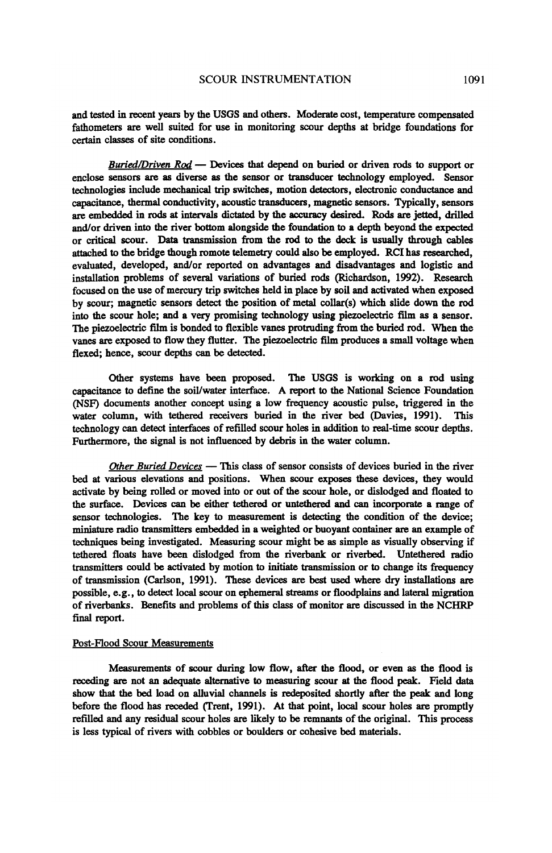and tested in recent years by the USGS and others. Moderate cost, temperature compensated fathometers are well suited for use in monitoring scour depths at bridge foundations for certain classes of site conditions.

*Buried/Driven Rod* — Devices that depend on buried or driven rods to support or enclose sensors are as diverse as the sensor or transducer technology employed. Sensor technologies include mechanical trip switches, motion detectors, electronic conductance and capacitance, thermal conductivity, acoustic transducers, magnetic sensors. Typically, sensors are embedded in rods at intervals dictated by the accuracy desired. Rods are jetted, drilled and/or driven into the river bottom alongside the foundation to a depth beyond the expected or critical scour. Data transmission from the rod to the deck is usually through cables attached to the bridge though romote telemetry could also be employed. RCI has researched, evaluated, developed, andlor reported on advantages and disadvantages and logistic and installation problems of several variations of buried rods (Richardson, 1992). Research focused on the use of mercury trip switches held in place by soil and activated when exposed by scour; magnetic sensors detect the position of metal collar(s) which slide down the rod into the scour hole; and a very promising technology using piezoelectric film as a sensor. The piezoelectric film is bonded to flexible vanes protruding from the buried rod. When the vanes are exposed to flow they flutter. The piezoelectric film produces a small voltage when flexed; hence, scour depths can be detected.

Other systems have been proposed. The USGS is working on a rod using capacitance to define the soil/water interface. A report to the National Science Foundation (NSF) documents another concept using a low frequency acoustic pulse, triggered in the water column, with tethered receivers buried in the river bed (Davies, 1991). This technology can detect interfaces of refilled scour holes in addition to real-time scour depths. Furthermore, the signal is not influenced by debris in the water column.

Other Buried Devices - This class of sensor consists of devices buried in the river bed at various elevations and positions. When scour exposes these devices, they would activate by being rolled or moved into or out of the scour hole, or dislodged and floated to the surface. Devices can be either tethered or untethered and can incorporate a range of sensor technologies. The key to measurement is detecting the condition of the device; miniature radio transmitters embedded in a weighted or buoyant container are an example of techniques being investigated. Measuring scour might be as simple as visually observing if tethered floats have been dislodged from the riverbank or riverbed. Untethered radio transmitters could be activated by motion to initiate transmission or to change its frequency of transmission (Carlson, 1991). These devices are best used where dry installations are possible, e.g., to detect local scour on ephemeral streams or floodplains and lateral migration of riverbanks. Benefits and problems of this class of monitor are discussed in the NCHRP final report.

#### Post-Flood Scour Measurements

Measurements of scour during low flow, after the flood, or even as the flood is receding are not an adequate alternative to measuring scour at the flood peak. Field data show that the bed load on alluvial channels is redeposited shortly after the peak and long before the flood has receded (Trent, 1991). At that point, local scour holes are promptly refilled and any residual scour holes are likely to be remnants of the original. This process is less typical of rivers with cobbles or boulders or cohesive bed materials.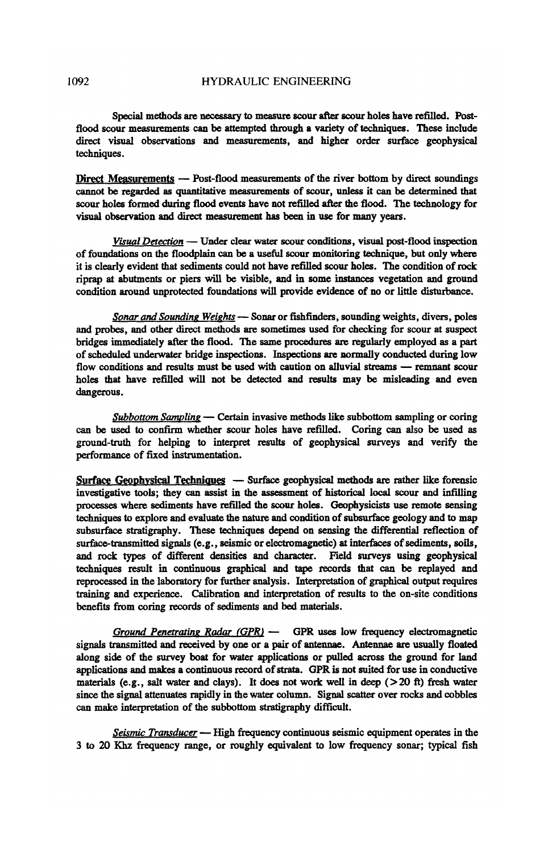Special methods are necessary to measure scour after scour holes have refilled. Postflood scour measurements can be attempted through a variety of techniques. These include direct visual observations and measurements, and higher order surface geophysical techniques.

Direct Measurements - Post-flood measurements of the river bottom by direct soundings cannot be regarded as quantitative measurements of scour, unless it can be determined that scour holes formed during flood events have not refilled after the flood. The technology for visual observation and direct measurement has been in use for many years.

*Visual Detection* - Under clear water scour conditions, visual post-flood inspection of foundations on the floodplain can be a useful scour monitoring technique, but only where it is clearly evident that sediments could not have refilled scour holes. The condition of rock riprap at abutments or piers will be visible, and in some instances vegetation and ground condition around unprotected foundations will provide evidence of no or little distwbance.

*Sonar and Sounding Weights* - Sonar or fishfinders, sounding weights, divers, poles and probes, and other direct methods are sometimes used for checking for scour at suspect bridges immediately after the flood. The same procedures are regularly employed as a part of scheduled underwater bridge inspections. Inspections are normally conducted during low flow conditions and results must be used with caution on alluvial streams - remnant scour holes that have refilled will not be detected and results may be misleading and even dangerous.

*Subbottom Sampling* — Certain invasive methods like subbottom sampling or coring can be used to confirm whether scour holes have refilled. Coring can also be used as ground-truth for helping to interpret results of geophysical surveys and verify the performance of fixed instrumentation.

Surface Geophysical Techniques  $-$  Surface geophysical methods are rather like forensic investigative tools; they can assist in the assessment of historical local scour and infilling processes where sediments have refilled the scour holes. Geophysicists use remote sensing techniques to explore and evaluate the nature and condition of subsurface geology and to map subsurface stratigraphy. These techniques depend on sensing the differential reflection of surface-transmitted signals (e.g., seismic or electromagnetic) at interfaces of sediments, soils, and rock types of different densities and character. Field surveys using geophysical techniques result in continuous graphical and tape records that can be replayed and reprocessed in the laboratory for further analysis. Interpretation of graphical output requires training and experience. Calibration and interpretation of results to the on-site conditions benefits from coring records of sediments and bed materials.

*Ground Penetrating Radar (GPR)* - GPR uses low frequency electromagnetic signals transmitted and received by one or a pair of antennae. Antennae are usually floated along side of the survey boat for water applications or pulled across the ground for land applications and makes a continuous record of strata. GPR is not suited for use in conductive materials (e.g., salt water and clays). It does not work well in deep ( $>20$  ft) fresh water since the signal attenuates rapidly in the water column. Signal scatter over rocks and cobbles can make interpretation of the subbottom stratigraphy difficult.

*Seismic Transducer* — High frequency continuous seismic equipment operates in the 3 to 20 Khz frequency range, or roughly equivalent to low frequency sonar; typical fish